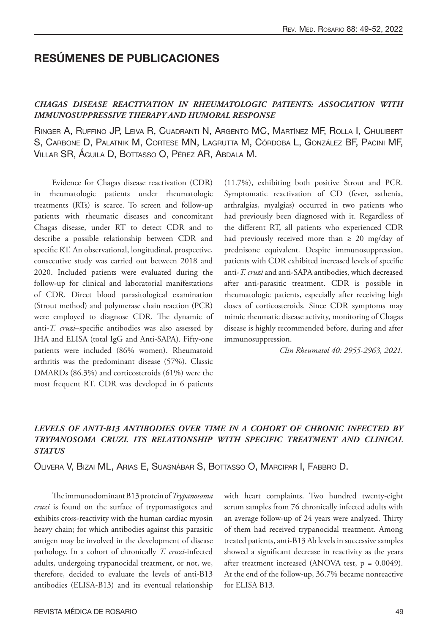# RESÚMENES DE PUBLICACIONES

#### *CHAGAS DISEASE REACTIVATION IN RHEUMATOLOGIC PATIENTS: ASSOCIATION WITH IMMUNOSUPPRESSIVE THERAPY AND HUMORAL RESPONSE*

Ringer A, Ruffino JP, Leiva R, Cuadranti N, Argento MC, Martínez MF, Rolla I, Chulibert S, Carbone D, Palatnik M, Cortese MN, Lagrutta M, Córdoba L, González BF, Pacini MF, Villar SR, Águila D, Bottasso O, Pérez AR, Abdala M.

Evidence for Chagas disease reactivation (CDR) in rheumatologic patients under rheumatologic treatments (RTs) is scarce. To screen and follow-up patients with rheumatic diseases and concomitant Chagas disease, under RT to detect CDR and to describe a possible relationship between CDR and specific RT. An observational, longitudinal, prospective, consecutive study was carried out between 2018 and 2020. Included patients were evaluated during the follow-up for clinical and laboratorial manifestations of CDR. Direct blood parasitological examination (Strout method) and polymerase chain reaction (PCR) were employed to diagnose CDR. The dynamic of anti-*T. cruzi*–specific antibodies was also assessed by IHA and ELISA (total IgG and Anti-SAPA). Fifty-one patients were included (86% women). Rheumatoid arthritis was the predominant disease (57%). Classic DMARDs (86.3%) and corticosteroids (61%) were the most frequent RT. CDR was developed in 6 patients

(11.7%), exhibiting both positive Strout and PCR. Symptomatic reactivation of CD (fever, asthenia, arthralgias, myalgias) occurred in two patients who had previously been diagnosed with it. Regardless of the different RT, all patients who experienced CDR had previously received more than  $\geq 20$  mg/day of prednisone equivalent. Despite immunosuppression, patients with CDR exhibited increased levels of specific anti-*T. cruzi* and anti-SAPA antibodies, which decreased after anti-parasitic treatment. CDR is possible in rheumatologic patients, especially after receiving high doses of corticosteroids. Since CDR symptoms may mimic rheumatic disease activity, monitoring of Chagas disease is highly recommended before, during and after immunosuppression.

*Clin Rheumatol 40: 2955-2963, 2021.*

## *LEVELS OF ANTI-B13 ANTIBODIES OVER TIME IN A COHORT OF CHRONIC INFECTED BY TRYPANOSOMA CRUZI. ITS RELATIONSHIP WITH SPECIFIC TREATMENT AND CLINICAL STATUS*

Olivera V, Bizai ML, Arias E, Suasnábar S, Bottasso O, Marcipar I, Fabbro D.

The immunodominant B13 protein of *Trypanosoma cruzi* is found on the surface of trypomastigotes and exhibits cross-reactivity with the human cardiac myosin heavy chain; for which antibodies against this parasitic antigen may be involved in the development of disease pathology. In a cohort of chronically *T. cruzi*-infected adults, undergoing trypanocidal treatment, or not, we, therefore, decided to evaluate the levels of anti-B13 antibodies (ELISA-B13) and its eventual relationship

with heart complaints. Two hundred twenty-eight serum samples from 76 chronically infected adults with an average follow-up of 24 years were analyzed. Thirty of them had received trypanocidal treatment. Among treated patients, anti-B13 Ab levels in successive samples showed a significant decrease in reactivity as the years after treatment increased (ANOVA test,  $p = 0.0049$ ). At the end of the follow-up, 36.7% became nonreactive for ELISA B13.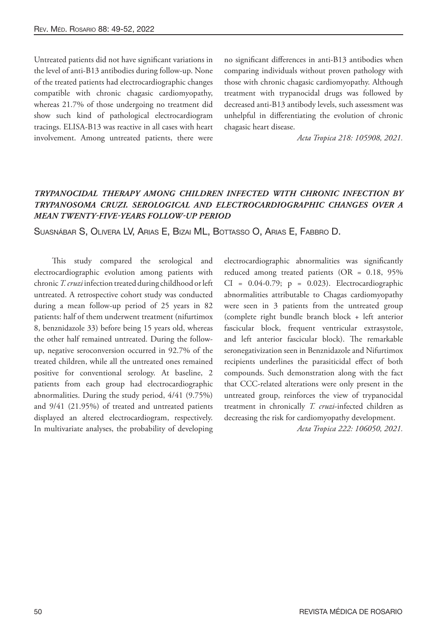Untreated patients did not have significant variations in the level of anti-B13 antibodies during follow-up. None of the treated patients had electrocardiographic changes compatible with chronic chagasic cardiomyopathy, whereas 21.7% of those undergoing no treatment did show such kind of pathological electrocardiogram tracings. ELISA-B13 was reactive in all cases with heart involvement. Among untreated patients, there were no significant differences in anti-B13 antibodies when comparing individuals without proven pathology with those with chronic chagasic cardiomyopathy. Although treatment with trypanocidal drugs was followed by decreased anti-B13 antibody levels, such assessment was unhelpful in differentiating the evolution of chronic chagasic heart disease.

*Acta Tropica 218: 105908, 2021.*

## *TRYPANOCIDAL THERAPY AMONG CHILDREN INFECTED WITH CHRONIC INFECTION BY TRYPANOSOMA CRUZI. SEROLOGICAL AND ELECTROCARDIOGRAPHIC CHANGES OVER A MEAN TWENTY-FIVE-YEARS FOLLOW-UP PERIOD*

Suasnábar S, Olivera LV, Arias E, Bizai ML, Bottasso O, Arias E, Fabbro D.

This study compared the serological and electrocardiographic evolution among patients with chronic *T. cruzi* infection treated during childhood or left untreated. A retrospective cohort study was conducted during a mean follow-up period of 25 years in 82 patients: half of them underwent treatment (nifurtimox 8, benznidazole 33) before being 15 years old, whereas the other half remained untreated. During the followup, negative seroconversion occurred in 92.7% of the treated children, while all the untreated ones remained positive for conventional serology. At baseline, 2 patients from each group had electrocardiographic abnormalities. During the study period, 4/41 (9.75%) and 9/41 (21.95%) of treated and untreated patients displayed an altered electrocardiogram, respectively. In multivariate analyses, the probability of developing

electrocardiographic abnormalities was significantly reduced among treated patients (OR = 0.18, 95% CI = 0.04-0.79; p = 0.023). Electrocardiographic abnormalities attributable to Chagas cardiomyopathy were seen in 3 patients from the untreated group (complete right bundle branch block + left anterior fascicular block, frequent ventricular extrasystole, and left anterior fascicular block). The remarkable seronegativization seen in Benznidazole and Nifurtimox recipients underlines the parasiticidal effect of both compounds. Such demonstration along with the fact that CCC-related alterations were only present in the untreated group, reinforces the view of trypanocidal treatment in chronically *T. cruzi*-infected children as decreasing the risk for cardiomyopathy development.

*Acta Tropica 222: 106050, 2021.*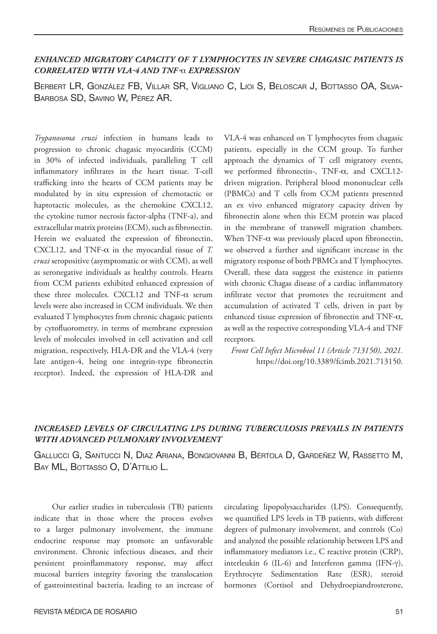### *ENHANCED MIGRATORY CAPACITY OF T LYMPHOCYTES IN SEVERE CHAGASIC PATIENTS IS CORRELATED WITH VLA-4 AND TNF-*α *EXPRESSION*

Berbert LR, González FB, Villar SR, Vigliano C, Lioi S, Beloscar J, Bottasso OA, Silva-Barbosa SD, Savino W, Pérez AR.

*Trypanosoma cruzi* infection in humans leads to progression to chronic chagasic myocarditis (CCM) in 30% of infected individuals, paralleling T cell inflammatory infiltrates in the heart tissue. T-cell trafficking into the hearts of CCM patients may be modulated by in situ expression of chemotactic or haptotactic molecules, as the chemokine CXCL12, the cytokine tumor necrosis factor-alpha (TNF-a), and extracellular matrix proteins (ECM), such as fibronectin. Herein we evaluated the expression of fibronectin, CXCL12, and TNF- $\alpha$  in the myocardial tissue of *T*. *cruzi* seropositive (asymptomatic or with CCM), as well as seronegative individuals as healthy controls. Hearts from CCM patients exhibited enhanced expression of these three molecules. CXCL12 and TNF-α serum levels were also increased in CCM individuals. We then evaluated T lymphocytes from chronic chagasic patients by cytofluorometry, in terms of membrane expression levels of molecules involved in cell activation and cell migration, respectively, HLA-DR and the VLA-4 (very late antigen-4, being one integrin-type fibronectin receptor). Indeed, the expression of HLA-DR and

VLA-4 was enhanced on T lymphocytes from chagasic patients, especially in the CCM group. To further approach the dynamics of T cell migratory events, we performed fibronectin-, TNF-α, and CXCL12 driven migration. Peripheral blood mononuclear cells (PBMCs) and T cells from CCM patients presented an ex vivo enhanced migratory capacity driven by fibronectin alone when this ECM protein was placed in the membrane of transwell migration chambers. When TNF- $\alpha$  was previously placed upon fibronectin, we observed a further and significant increase in the migratory response of both PBMCs and T lymphocytes. Overall, these data suggest the existence in patients with chronic Chagas disease of a cardiac inflammatory infiltrate vector that promotes the recruitment and accumulation of activated T cells, driven in part by enhanced tissue expression of fibronectin and TNF-α, as well as the respective corresponding VLA-4 and TNF receptors.

*Front Cell Infect Microbiol 11 (Article 713150), 2021.*  https://doi.org/10.3389/fcimb.2021.713150.

#### *INCREASED LEVELS OF CIRCULATING LPS DURING TUBERCULOSIS PREVAILS IN PATIENTS WITH ADVANCED PULMONARY INVOLVEMENT*

Gallucci G, Santucci N, Diaz Ariana, Bongiovanni B, Bértola D, Gardeñez W, Rassetto M, BAY ML, BOTTASSO O, D'ATTILIO L.

Our earlier studies in tuberculosis (TB) patients indicate that in those where the process evolves to a larger pulmonary involvement, the immune endocrine response may promote an unfavorable environment. Chronic infectious diseases, and their persistent proinflammatory response, may affect mucosal barriers integrity favoring the translocation of gastrointestinal bacteria, leading to an increase of circulating lipopolysaccharides (LPS). Consequently, we quantified LPS levels in TB patients, with different degrees of pulmonary involvement, and controls (Co) and analyzed the possible relationship between LPS and inflammatory mediators i.e., C reactive protein (CRP), interleukin 6 (IL-6) and Interferon gamma (IFN-γ), Erythrocyte Sedimentation Rate (ESR), steroid hormones (Cortisol and Dehydroepiandrosterone,